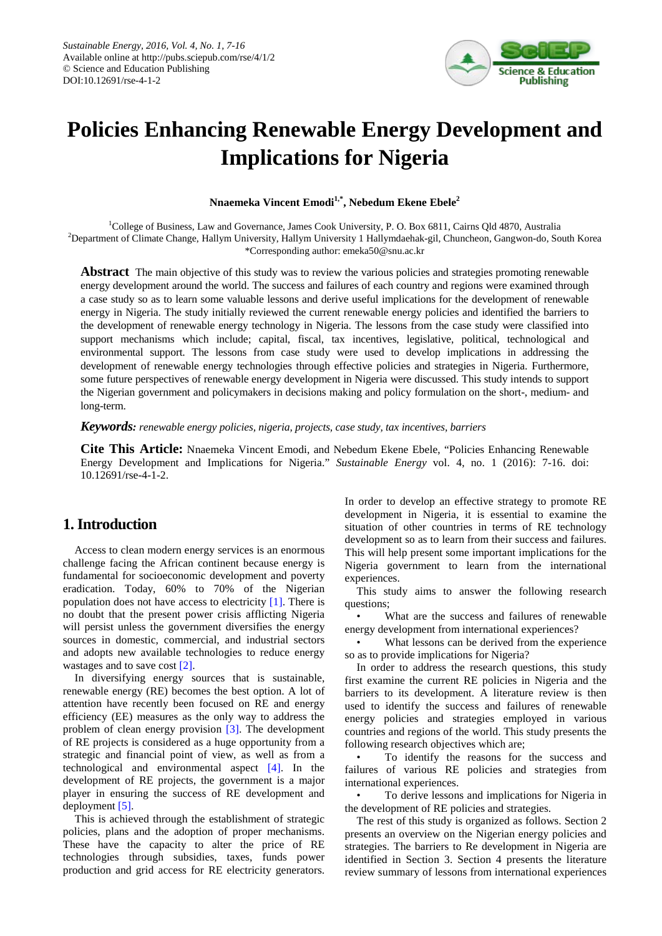

# **Policies Enhancing Renewable Energy Development and Implications for Nigeria**

**Nnaemeka Vincent Emodi1,\*, Nebedum Ekene Ebele2**

<sup>1</sup>College of Business, Law and Governance, James Cook University, P. O. Box 6811, Cairns Qld 4870, Australia 2 Department of Climate Change, Hallym University, Hallym University 1 Hallymdaehak-gil, Chuncheon, Gangwon-do, South Korea \*Corresponding author: emeka50@snu.ac.kr

Abstract The main objective of this study was to review the various policies and strategies promoting renewable energy development around the world. The success and failures of each country and regions were examined through a case study so as to learn some valuable lessons and derive useful implications for the development of renewable energy in Nigeria. The study initially reviewed the current renewable energy policies and identified the barriers to the development of renewable energy technology in Nigeria. The lessons from the case study were classified into support mechanisms which include; capital, fiscal, tax incentives, legislative, political, technological and environmental support. The lessons from case study were used to develop implications in addressing the development of renewable energy technologies through effective policies and strategies in Nigeria. Furthermore, some future perspectives of renewable energy development in Nigeria were discussed. This study intends to support the Nigerian government and policymakers in decisions making and policy formulation on the short-, medium- and long-term.

*Keywords: renewable energy policies, nigeria, projects, case study, tax incentives, barriers*

**Cite This Article:** Nnaemeka Vincent Emodi, and Nebedum Ekene Ebele, "Policies Enhancing Renewable Energy Development and Implications for Nigeria." *Sustainable Energy* vol. 4, no. 1 (2016): 7-16. doi: 10.12691/rse-4-1-2.

## **1. Introduction**

Access to clean modern energy services is an enormous challenge facing the African continent because energy is fundamental for socioeconomic development and poverty eradication. Today, 60% to 70% of the Nigerian population does not have access to electricity  $[1]$ . There is no doubt that the present power crisis afflicting Nigeria will persist unless the government diversifies the energy sources in domestic, commercial, and industrial sectors and adopts new available technologies to reduce energy wastages and to save cost [\[2\].](#page-8-1)

In diversifying energy sources that is sustainable, renewable energy (RE) becomes the best option. A lot of attention have recently been focused on RE and energy efficiency (EE) measures as the only way to address the problem of clean energy provision [\[3\].](#page-8-2) The development of RE projects is considered as a huge opportunity from a strategic and financial point of view, as well as from a technological and environmental aspect [\[4\].](#page-8-3) In the development of RE projects, the government is a major player in ensuring the success of RE development and deployment [\[5\].](#page-8-4)

This is achieved through the establishment of strategic policies, plans and the adoption of proper mechanisms. These have the capacity to alter the price of RE technologies through subsidies, taxes, funds power production and grid access for RE electricity generators.

In order to develop an effective strategy to promote RE development in Nigeria, it is essential to examine the situation of other countries in terms of RE technology development so as to learn from their success and failures. This will help present some important implications for the Nigeria government to learn from the international experiences.

This study aims to answer the following research questions;

What are the success and failures of renewable energy development from international experiences?

What lessons can be derived from the experience so as to provide implications for Nigeria?

In order to address the research questions, this study first examine the current RE policies in Nigeria and the barriers to its development. A literature review is then used to identify the success and failures of renewable energy policies and strategies employed in various countries and regions of the world. This study presents the following research objectives which are;

• To identify the reasons for the success and failures of various RE policies and strategies from international experiences.

To derive lessons and implications for Nigeria in the development of RE policies and strategies.

The rest of this study is organized as follows. Section 2 presents an overview on the Nigerian energy policies and strategies. The barriers to Re development in Nigeria are identified in Section 3. Section 4 presents the literature review summary of lessons from international experiences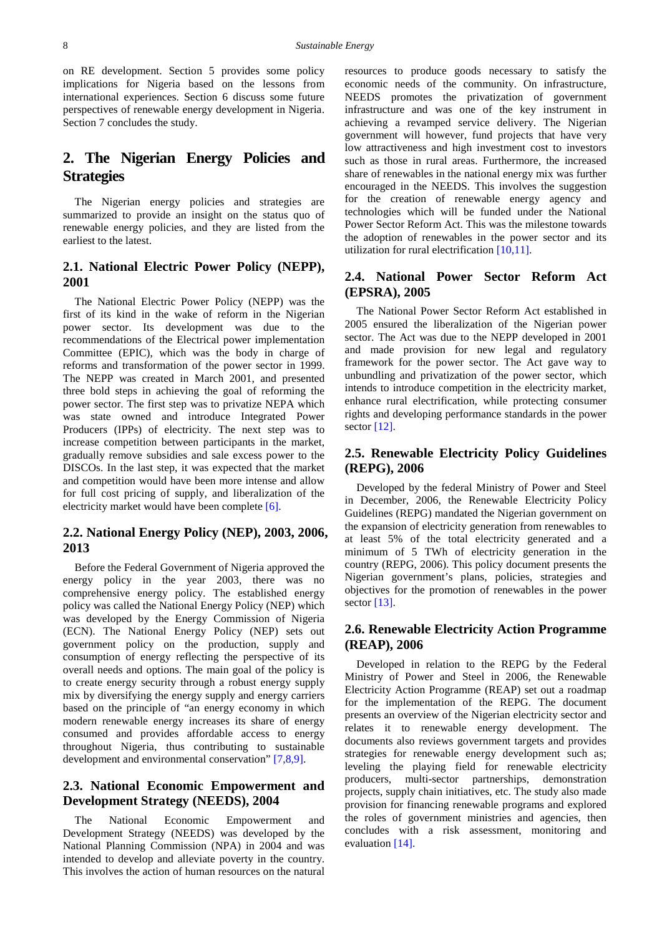on RE development. Section 5 provides some policy implications for Nigeria based on the lessons from international experiences. Section 6 discuss some future perspectives of renewable energy development in Nigeria. Section 7 concludes the study.

# **2. The Nigerian Energy Policies and Strategies**

The Nigerian energy policies and strategies are summarized to provide an insight on the status quo of renewable energy policies, and they are listed from the earliest to the latest.

## **2.1. National Electric Power Policy (NEPP), 2001**

The National Electric Power Policy (NEPP) was the first of its kind in the wake of reform in the Nigerian power sector. Its development was due to the recommendations of the Electrical power implementation Committee (EPIC), which was the body in charge of reforms and transformation of the power sector in 1999. The NEPP was created in March 2001, and presented three bold steps in achieving the goal of reforming the power sector. The first step was to privatize NEPA which was state owned and introduce Integrated Power Producers (IPPs) of electricity. The next step was to increase competition between participants in the market, gradually remove subsidies and sale excess power to the DISCOs. In the last step, it was expected that the market and competition would have been more intense and allow for full cost pricing of supply, and liberalization of the electricity market would have been complete [\[6\].](#page-8-5)

## **2.2. National Energy Policy (NEP), 2003, 2006, 2013**

Before the Federal Government of Nigeria approved the energy policy in the year 2003, there was no comprehensive energy policy. The established energy policy was called the National Energy Policy (NEP) which was developed by the Energy Commission of Nigeria (ECN). The National Energy Policy (NEP) sets out government policy on the production, supply and consumption of energy reflecting the perspective of its overall needs and options. The main goal of the policy is to create energy security through a robust energy supply mix by diversifying the energy supply and energy carriers based on the principle of "an energy economy in which modern renewable energy increases its share of energy consumed and provides affordable access to energy throughout Nigeria, thus contributing to sustainable development and environmental conservation" [\[7,8,9\].](#page-8-6)

## **2.3. National Economic Empowerment and Development Strategy (NEEDS), 2004**

The National Economic Empowerment and Development Strategy (NEEDS) was developed by the National Planning Commission (NPA) in 2004 and was intended to develop and alleviate poverty in the country. This involves the action of human resources on the natural resources to produce goods necessary to satisfy the economic needs of the community. On infrastructure, NEEDS promotes the privatization of government infrastructure and was one of the key instrument in achieving a revamped service delivery. The Nigerian government will however, fund projects that have very low attractiveness and high investment cost to investors such as those in rural areas. Furthermore, the increased share of renewables in the national energy mix was further encouraged in the NEEDS. This involves the suggestion for the creation of renewable energy agency and technologies which will be funded under the National Power Sector Reform Act. This was the milestone towards the adoption of renewables in the power sector and its utilization for rural electrification [\[10,11\].](#page-8-7)

## **2.4. National Power Sector Reform Act (EPSRA), 2005**

The National Power Sector Reform Act established in 2005 ensured the liberalization of the Nigerian power sector. The Act was due to the NEPP developed in 2001 and made provision for new legal and regulatory framework for the power sector. The Act gave way to unbundling and privatization of the power sector, which intends to introduce competition in the electricity market, enhance rural electrification, while protecting consumer rights and developing performance standards in the power secto[r \[12\].](#page-8-8)

## **2.5. Renewable Electricity Policy Guidelines (REPG), 2006**

Developed by the federal Ministry of Power and Steel in December, 2006, the Renewable Electricity Policy Guidelines (REPG) mandated the Nigerian government on the expansion of electricity generation from renewables to at least 5% of the total electricity generated and a minimum of 5 TWh of electricity generation in the country (REPG, 2006). This policy document presents the Nigerian government's plans, policies, strategies and objectives for the promotion of renewables in the power sector  $[13]$ .

## **2.6. Renewable Electricity Action Programme (REAP), 2006**

Developed in relation to the REPG by the Federal Ministry of Power and Steel in 2006, the Renewable Electricity Action Programme (REAP) set out a roadmap for the implementation of the REPG. The document presents an overview of the Nigerian electricity sector and relates it to renewable energy development. The documents also reviews government targets and provides strategies for renewable energy development such as; leveling the playing field for renewable electricity producers, multi-sector partnerships, demonstration projects, supply chain initiatives, etc. The study also made provision for financing renewable programs and explored the roles of government ministries and agencies, then concludes with a risk assessment, monitoring and evaluation [\[14\].](#page-8-10)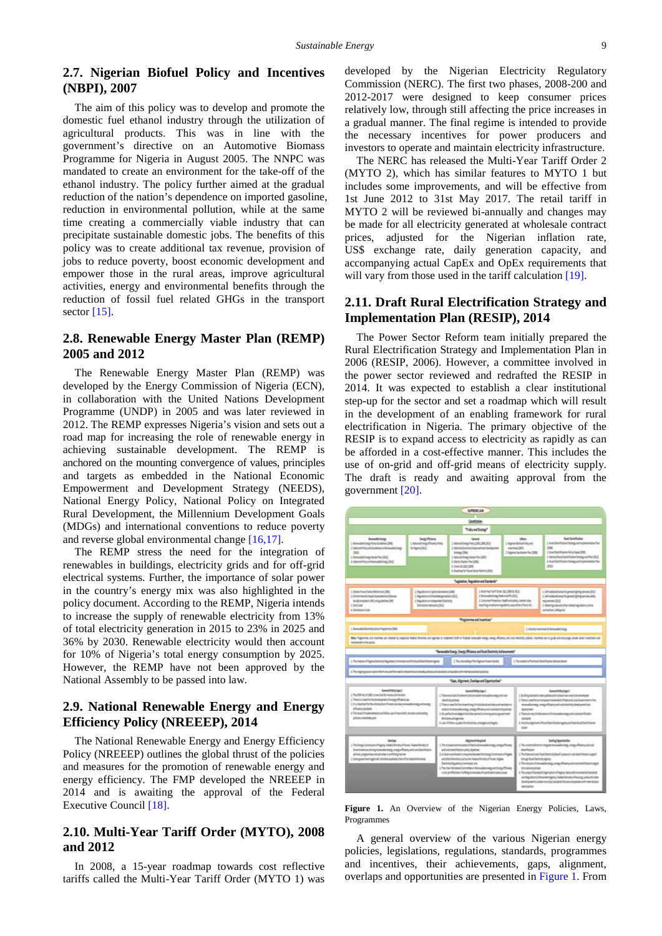## **2.7. Nigerian Biofuel Policy and Incentives (NBPI), 2007**

The aim of this policy was to develop and promote the domestic fuel ethanol industry through the utilization of agricultural products. This was in line with the government's directive on an Automotive Biomass Programme for Nigeria in August 2005. The NNPC was mandated to create an environment for the take-off of the ethanol industry. The policy further aimed at the gradual reduction of the nation's dependence on imported gasoline, reduction in environmental pollution, while at the same time creating a commercially viable industry that can precipitate sustainable domestic jobs. The benefits of this policy was to create additional tax revenue, provision of jobs to reduce poverty, boost economic development and empower those in the rural areas, improve agricultural activities, energy and environmental benefits through the reduction of fossil fuel related GHGs in the transport sector [\[15\].](#page-8-11)

## **2.8. Renewable Energy Master Plan (REMP) 2005 and 2012**

The Renewable Energy Master Plan (REMP) was developed by the Energy Commission of Nigeria (ECN), in collaboration with the United Nations Development Programme (UNDP) in 2005 and was later reviewed in 2012. The REMP expresses Nigeria's vision and sets out a road map for increasing the role of renewable energy in achieving sustainable development. The REMP is anchored on the mounting convergence of values, principles and targets as embedded in the National Economic Empowerment and Development Strategy (NEEDS), National Energy Policy, National Policy on Integrated Rural Development, the Millennium Development Goals (MDGs) and international conventions to reduce poverty and reverse global environmental change [\[16,17\].](#page-8-12)

The REMP stress the need for the integration of renewables in buildings, electricity grids and for off-grid electrical systems. Further, the importance of solar power in the country's energy mix was also highlighted in the policy document. According to the REMP, Nigeria intends to increase the supply of renewable electricity from 13% of total electricity generation in 2015 to 23% in 2025 and 36% by 2030. Renewable electricity would then account for 10% of Nigeria's total energy consumption by 2025. However, the REMP have not been approved by the National Assembly to be passed into law.

## **2.9. National Renewable Energy and Energy Efficiency Policy (NREEEP), 2014**

The National Renewable Energy and Energy Efficiency Policy (NREEEP) outlines the global thrust of the policies and measures for the promotion of renewable energy and energy efficiency. The FMP developed the NREEEP in 2014 and is awaiting the approval of the Federal Executive Council [\[18\].](#page-8-13)

## **2.10. Multi-Year Tariff Order (MYTO), 2008 and 2012**

In 2008, a 15-year roadmap towards cost reflective tariffs called the Multi-Year Tariff Order (MYTO 1) was developed by the Nigerian Electricity Regulatory Commission (NERC). The first two phases, 2008-200 and 2012-2017 were designed to keep consumer prices relatively low, through still affecting the price increases in a gradual manner. The final regime is intended to provide the necessary incentives for power producers and investors to operate and maintain electricity infrastructure.

The NERC has released the Multi-Year Tariff Order 2 (MYTO 2), which has similar features to MYTO 1 but includes some improvements, and will be effective from 1st June 2012 to 31st May 2017. The retail tariff in MYTO 2 will be reviewed bi-annually and changes may be made for all electricity generated at wholesale contract prices, adjusted for the Nigerian inflation rate, US\$ exchange rate, daily generation capacity, and accompanying actual CapEx and OpEx requirements that will vary from those used in the tariff calculation [19].

## **2.11. Draft Rural Electrification Strategy and Implementation Plan (RESIP), 2014**

The Power Sector Reform team initially prepared the Rural Electrification Strategy and Implementation Plan in 2006 (RESIP, 2006). However, a committee involved in the power sector reviewed and redrafted the RESIP in 2014. It was expected to establish a clear institutional step-up for the sector and set a roadmap which will result in the development of an enabling framework for rural electrification in Nigeria. The primary objective of the RESIP is to expand access to electricity as rapidly as can be afforded in a cost-effective manner. This includes the use of on-grid and off-grid means of electricity supply. The draft is ready and awaiting approval from the government [\[20\].](#page-8-15)

<span id="page-2-0"></span>

Figure 1. An Overview of the Nigerian Energy Policies, Laws, Programmes

A general overview of the various Nigerian energy policies, legislations, regulations, standards, programmes and incentives, their achievements, gaps, alignment, overlaps and opportunities are presented in [Figure 1.](#page-2-0) From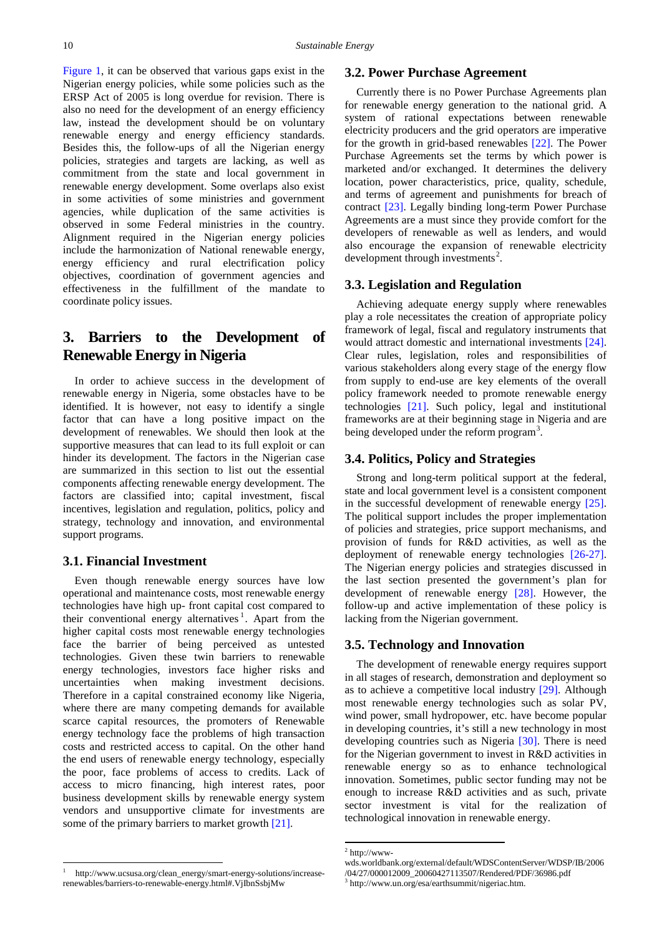[Figure 1,](#page-2-0) it can be observed that various gaps exist in the Nigerian energy policies, while some policies such as the ERSP Act of 2005 is long overdue for revision. There is also no need for the development of an energy efficiency law, instead the development should be on voluntary renewable energy and energy efficiency standards. Besides this, the follow-ups of all the Nigerian energy policies, strategies and targets are lacking, as well as commitment from the state and local government in renewable energy development. Some overlaps also exist in some activities of some ministries and government agencies, while duplication of the same activities is observed in some Federal ministries in the country. Alignment required in the Nigerian energy policies include the harmonization of National renewable energy, energy efficiency and rural electrification policy objectives, coordination of government agencies and effectiveness in the fulfillment of the mandate to coordinate policy issues.

# **3. Barriers to the Development of Renewable Energy in Nigeria**

In order to achieve success in the development of renewable energy in Nigeria, some obstacles have to be identified. It is however, not easy to identify a single factor that can have a long positive impact on the development of renewables. We should then look at the supportive measures that can lead to its full exploit or can hinder its development. The factors in the Nigerian case are summarized in this section to list out the essential components affecting renewable energy development. The factors are classified into; capital investment, fiscal incentives, legislation and regulation, politics, policy and strategy, technology and innovation, and environmental support programs.

#### **3.1. Financial Investment**

<span id="page-3-0"></span>.

Even though renewable energy sources have low operational and maintenance costs, most renewable energy technologies have high up- front capital cost compared to their conventional energy alternatives<sup>[1](#page-5-0)</sup>. Apart from the higher capital costs most renewable energy technologies face the barrier of being perceived as untested technologies. Given these twin barriers to renewable energy technologies, investors face higher risks and uncertainties when making investment decisions. Therefore in a capital constrained economy like Nigeria, where there are many competing demands for available scarce capital resources, the promoters of Renewable energy technology face the problems of high transaction costs and restricted access to capital. On the other hand the end users of renewable energy technology, especially the poor, face problems of access to credits. Lack of access to micro financing, high interest rates, poor business development skills by renewable energy system vendors and unsupportive climate for investments are some of the primary barriers to market growth [\[21\].](#page-8-16)

#### **3.2. Power Purchase Agreement**

Currently there is no Power Purchase Agreements plan for renewable energy generation to the national grid. A system of rational expectations between renewable electricity producers and the grid operators are imperative for the growth in grid-based renewables [\[22\].](#page-8-17) The Power Purchase Agreements set the terms by which power is marketed and/or exchanged. It determines the delivery location, power characteristics, price, quality, schedule, and terms of agreement and punishments for breach of contract [\[23\].](#page-8-18) Legally binding long-term Power Purchase Agreements are a must since they provide comfort for the developers of renewable as well as lenders, and would also encourage the expansion of renewable electricity development through investments<sup>[2](#page-3-0)</sup>.

## **3.3. Legislation and Regulation**

Achieving adequate energy supply where renewables play a role necessitates the creation of appropriate policy framework of legal, fiscal and regulatory instruments that would attract domestic and international investments [\[24\].](#page-8-19) Clear rules, legislation, roles and responsibilities of various stakeholders along every stage of the energy flow from supply to end-use are key elements of the overall policy framework needed to promote renewable energy technologies [\[21\].](#page-8-16) Such policy, legal and institutional frameworks are at their beginning stage in Nigeria and are being developed under the reform program<sup>[3](#page-3-1)</sup>.

## **3.4. Politics, Policy and Strategies**

Strong and long-term political support at the federal, state and local government level is a consistent component in the successful development of renewable energy [\[25\].](#page-8-20) The political support includes the proper implementation of policies and strategies, price support mechanisms, and provision of funds for R&D activities, as well as the deployment of renewable energy technologies [\[26-27\].](#page-8-21) The Nigerian energy policies and strategies discussed in the last section presented the government's plan for development of renewable energy [\[28\].](#page-8-22) However, the follow-up and active implementation of these policy is lacking from the Nigerian government.

#### **3.5. Technology and Innovation**

The development of renewable energy requires support in all stages of research, demonstration and deployment so as to achieve a competitive local industry [\[29\].](#page-8-23) Although most renewable energy technologies such as solar PV, wind power, small hydropower, etc. have become popular in developing countries, it's still a new technology in most developing countries such as Nigeria [\[30\].](#page-8-24) There is need for the Nigerian government to invest in R&D activities in renewable energy so as to enhance technological innovation. Sometimes, public sector funding may not be enough to increase R&D activities and as such, private sector investment is vital for the realization of technological innovation in renewable energy.

<u>.</u>

<span id="page-3-1"></span><sup>1</sup> http://www.ucsusa.org/clean\_energy/smart-energy-solutions/increaserenewables/barriers-to-renewable-energy.html#.VjIbnSsbjMw

 $2$  http://www-

wds.worldbank.org/external/default/WDSContentServer/WDSP/IB/2006 /04/27/000012009\_20060427113507/Rendered/PDF/36986.pdf

 $^3$ http://www.un.org/esa/earthsummit/nigeriac.htm.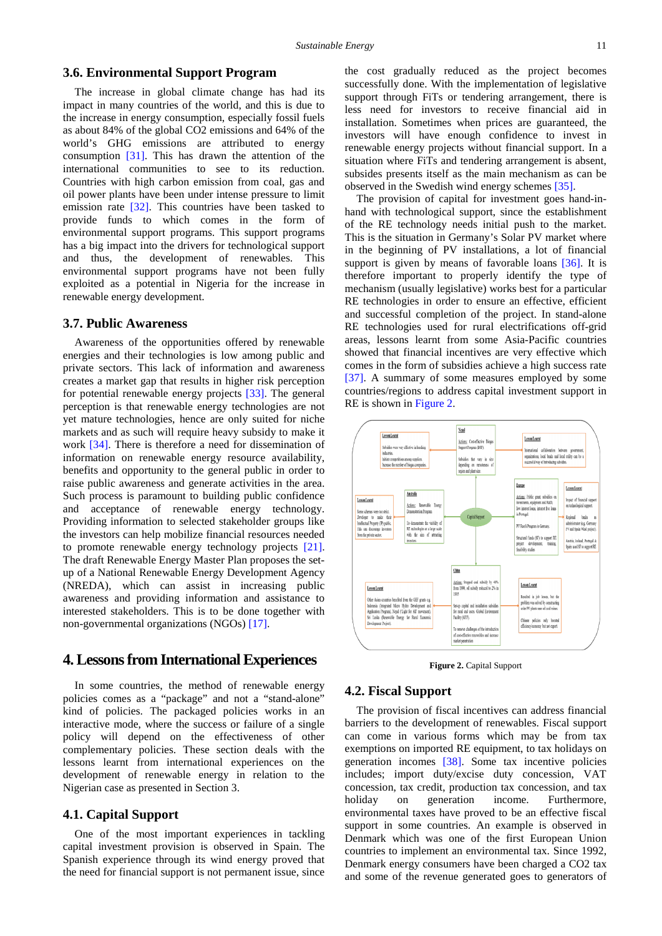#### **3.6. Environmental Support Program**

The increase in global climate change has had its impact in many countries of the world, and this is due to the increase in energy consumption, especially fossil fuels as about 84% of the global CO2 emissions and 64% of the world's GHG emissions are attributed to energy consumption [\[31\].](#page-8-25) This has drawn the attention of the international communities to see to its reduction. Countries with high carbon emission from coal, gas and oil power plants have been under intense pressure to limit emission rate [\[32\].](#page-8-26) This countries have been tasked to provide funds to which comes in the form of environmental support programs. This support programs has a big impact into the drivers for technological support and thus, the development of renewables. This environmental support programs have not been fully exploited as a potential in Nigeria for the increase in renewable energy development.

#### **3.7. Public Awareness**

Awareness of the opportunities offered by renewable energies and their technologies is low among public and private sectors. This lack of information and awareness creates a market gap that results in higher risk perception for potential renewable energy projects [\[33\].](#page-8-27) The general perception is that renewable energy technologies are not yet mature technologies, hence are only suited for niche markets and as such will require heavy subsidy to make it work [\[34\].](#page-8-28) There is therefore a need for dissemination of information on renewable energy resource availability, benefits and opportunity to the general public in order to raise public awareness and generate activities in the area. Such process is paramount to building public confidence and acceptance of renewable energy technology. Providing information to selected stakeholder groups like the investors can help mobilize financial resources needed to promote renewable energy technology projects [\[21\].](#page-8-16) The draft Renewable Energy Master Plan proposes the setup of a National Renewable Energy Development Agency (NREDA), which can assist in increasing public awareness and providing information and assistance to interested stakeholders. This is to be done together with non-governmental organizations (NGOs) [\[17\].](#page-8-29)

## **4. Lessons from International Experiences**

In some countries, the method of renewable energy policies comes as a "package" and not a "stand-alone" kind of policies. The packaged policies works in an interactive mode, where the success or failure of a single policy will depend on the effectiveness of other complementary policies. These section deals with the lessons learnt from international experiences on the development of renewable energy in relation to the Nigerian case as presented in Section 3.

#### **4.1. Capital Support**

One of the most important experiences in tackling capital investment provision is observed in Spain. The Spanish experience through its wind energy proved that the need for financial support is not permanent issue, since

the cost gradually reduced as the project becomes successfully done. With the implementation of legislative support through FiTs or tendering arrangement, there is less need for investors to receive financial aid in installation. Sometimes when prices are guaranteed, the investors will have enough confidence to invest in renewable energy projects without financial support. In a situation where FiTs and tendering arrangement is absent, subsides presents itself as the main mechanism as can be observed in the Swedish wind energy schemes [\[35\].](#page-8-30)

The provision of capital for investment goes hand-inhand with technological support, since the establishment of the RE technology needs initial push to the market. This is the situation in Germany's Solar PV market where in the beginning of PV installations, a lot of financial support is given by means of favorable loans [\[36\].](#page-8-31) It is therefore important to properly identify the type of mechanism (usually legislative) works best for a particular RE technologies in order to ensure an effective, efficient and successful completion of the project. In stand-alone RE technologies used for rural electrifications off-grid areas, lessons learnt from some Asia-Pacific countries showed that financial incentives are very effective which comes in the form of subsidies achieve a high success rate [\[37\].](#page-8-32) A summary of some measures employed by some countries/regions to address capital investment support in RE is shown in [Figure 2.](#page-4-0)

<span id="page-4-0"></span>

**Figure 2.** Capital Support

#### **4.2. Fiscal Support**

The provision of fiscal incentives can address financial barriers to the development of renewables. Fiscal support can come in various forms which may be from tax exemptions on imported RE equipment, to tax holidays on generation incomes [\[38\].](#page-8-33) Some tax incentive policies includes; import duty/excise duty concession, VAT concession, tax credit, production tax concession, and tax holiday on generation income. Furthermore, environmental taxes have proved to be an effective fiscal support in some countries. An example is observed in Denmark which was one of the first European Union countries to implement an environmental tax. Since 1992, Denmark energy consumers have been charged a CO2 tax and some of the revenue generated goes to generators of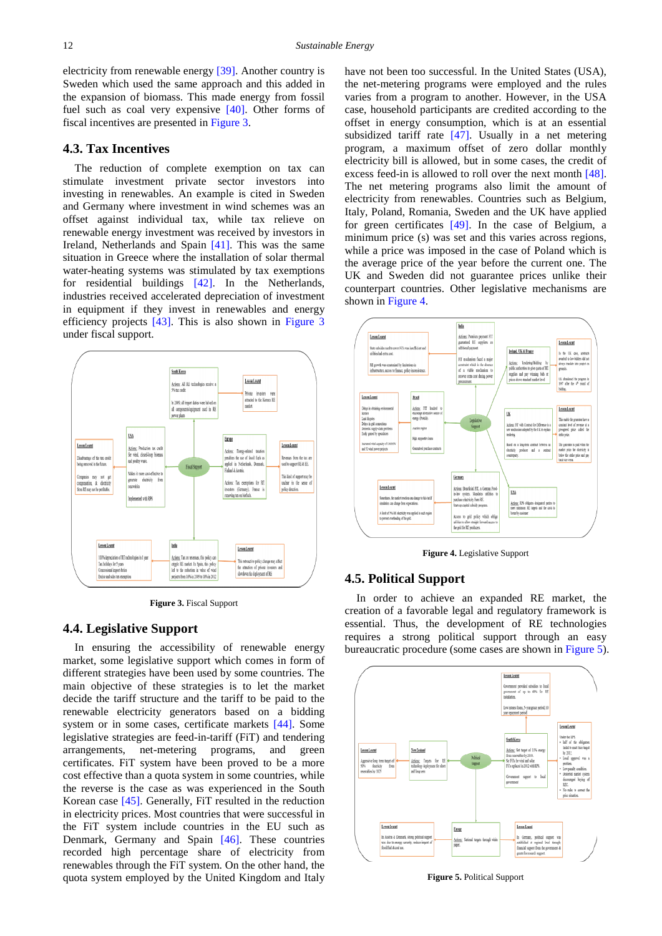electricity from renewable energy [\[39\].](#page-9-0) Another country is Sweden which used the same approach and this added in the expansion of biomass. This made energy from fossil fuel such as coal very expensive [\[40\].](#page-9-1) Other forms of fiscal incentives are presented i[n Figure 3.](#page-5-1)

#### **4.3. Tax Incentives**

The reduction of complete exemption on tax can stimulate investment private sector investors into investing in renewables. An example is cited in Sweden and Germany where investment in wind schemes was an offset against individual tax, while tax relieve on renewable energy investment was received by investors in Ireland, Netherlands and Spain [\[41\].](#page-9-2) This was the same situation in Greece where the installation of solar thermal water-heating systems was stimulated by tax exemptions for residential buildings [\[42\].](#page-9-3) In the Netherlands, industries received accelerated depreciation of investment in equipment if they invest in renewables and energy efficiency projects [\[43\].](#page-9-4) This is also shown in [Figure 3](#page-5-1) under fiscal support.

<span id="page-5-1"></span>

**Figure 3.** Fiscal Support

#### **4.4. Legislative Support**

<span id="page-5-0"></span>In ensuring the accessibility of renewable energy market, some legislative support which comes in form of different strategies have been used by some countries. The main objective of these strategies is to let the market decide the tariff structure and the tariff to be paid to the renewable electricity generators based on a bidding system or in some cases, certificate markets [\[44\].](#page-9-5) Some legislative strategies are feed-in-tariff (FiT) and tendering arrangements, net-metering programs, and green certificates. FiT system have been proved to be a more cost effective than a quota system in some countries, while the reverse is the case as was experienced in the South Korean case [\[45\].](#page-9-6) Generally, FiT resulted in the reduction in electricity prices. Most countries that were successful in the FiT system include countries in the EU such as Denmark, Germany and Spain [\[46\].](#page-9-7) These countries recorded high percentage share of electricity from renewables through the FiT system. On the other hand, the quota system employed by the United Kingdom and Italy

have not been too successful. In the United States (USA), the net-metering programs were employed and the rules varies from a program to another. However, in the USA case, household participants are credited according to the offset in energy consumption, which is at an essential subsidized tariff rate [\[47\].](#page-9-8) Usually in a net metering program, a maximum offset of zero dollar monthly electricity bill is allowed, but in some cases, the credit of excess feed-in is allowed to roll over the next month [\[48\].](#page-9-9) The net metering programs also limit the amount of electricity from renewables. Countries such as Belgium, Italy, Poland, Romania, Sweden and the UK have applied for green certificates [\[49\].](#page-9-10) In the case of Belgium, a minimum price (s) was set and this varies across regions, while a price was imposed in the case of Poland which is the average price of the year before the current one. The UK and Sweden did not guarantee prices unlike their counterpart countries. Other legislative mechanisms are shown in [Figure 4.](#page-5-2)

<span id="page-5-2"></span>

**Figure 4.** Legislative Support

#### **4.5. Political Support**

In order to achieve an expanded RE market, the creation of a favorable legal and regulatory framework is essential. Thus, the development of RE technologies requires a strong political support through an easy bureaucratic procedure (some cases are shown in [Figure 5\)](#page-5-3).

<span id="page-5-3"></span>

**Figure 5.** Political Support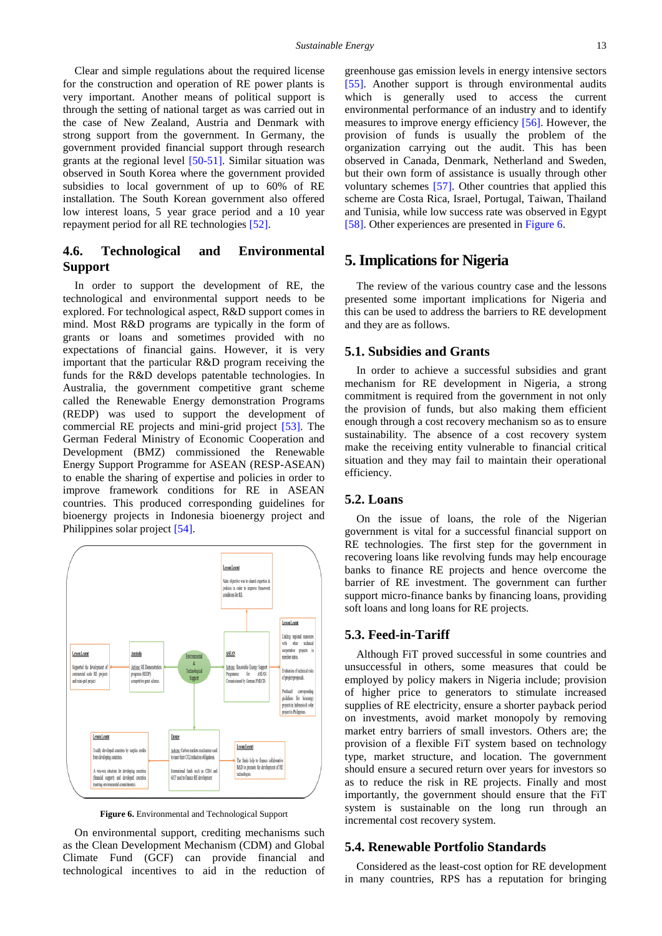Clear and simple regulations about the required license for the construction and operation of RE power plants is very important. Another means of political support is through the setting of national target as was carried out in the case of New Zealand, Austria and Denmark with strong support from the government. In Germany, the government provided financial support through research grants at the regional level [\[50-51\].](#page-9-11) Similar situation was observed in South Korea where the government provided subsidies to local government of up to 60% of RE installation. The South Korean government also offered low interest loans, 5 year grace period and a 10 year repayment period for all RE technologies [\[52\].](#page-9-12)

## **4.6. Technological and Environmental Support**

In order to support the development of RE, the technological and environmental support needs to be explored. For technological aspect, R&D support comes in mind. Most R&D programs are typically in the form of grants or loans and sometimes provided with no expectations of financial gains. However, it is very important that the particular R&D program receiving the funds for the R&D develops patentable technologies. In Australia, the government competitive grant scheme called the Renewable Energy demonstration Programs (REDP) was used to support the development of commercial RE projects and mini-grid project [\[53\].](#page-9-13) The German Federal Ministry of Economic Cooperation and Development (BMZ) commissioned the Renewable Energy Support Programme for ASEAN (RESP-ASEAN) to enable the sharing of expertise and policies in order to improve framework conditions for RE in ASEAN countries. This produced corresponding guidelines for bioenergy projects in Indonesia bioenergy project and Philippines solar project [\[54\].](#page-9-14)

<span id="page-6-0"></span>

**Figure 6.** Environmental and Technological Support

On environmental support, crediting mechanisms such as the Clean Development Mechanism (CDM) and Global Climate Fund (GCF) can provide financial and technological incentives to aid in the reduction of greenhouse gas emission levels in energy intensive sectors [\[55\].](#page-9-15) Another support is through environmental audits which is generally used to access the current environmental performance of an industry and to identify measures to improve energy efficiency [\[56\].](#page-9-16) However, the provision of funds is usually the problem of the organization carrying out the audit. This has been observed in Canada, Denmark, Netherland and Sweden, but their own form of assistance is usually through other voluntary schemes [\[57\].](#page-9-17) Other countries that applied this scheme are Costa Rica, Israel, Portugal, Taiwan, Thailand and Tunisia, while low success rate was observed in Egypt [\[58\].](#page-9-18) Other experiences are presented i[n Figure 6.](#page-6-0)

## **5. Implications for Nigeria**

The review of the various country case and the lessons presented some important implications for Nigeria and this can be used to address the barriers to RE development and they are as follows.

#### **5.1. Subsidies and Grants**

In order to achieve a successful subsidies and grant mechanism for RE development in Nigeria, a strong commitment is required from the government in not only the provision of funds, but also making them efficient enough through a cost recovery mechanism so as to ensure sustainability. The absence of a cost recovery system make the receiving entity vulnerable to financial critical situation and they may fail to maintain their operational efficiency.

#### **5.2. Loans**

On the issue of loans, the role of the Nigerian government is vital for a successful financial support on RE technologies. The first step for the government in recovering loans like revolving funds may help encourage banks to finance RE projects and hence overcome the barrier of RE investment. The government can further support micro-finance banks by financing loans, providing soft loans and long loans for RE projects.

#### **5.3. Feed-in-Tariff**

Although FiT proved successful in some countries and unsuccessful in others, some measures that could be employed by policy makers in Nigeria include; provision of higher price to generators to stimulate increased supplies of RE electricity, ensure a shorter payback period on investments, avoid market monopoly by removing market entry barriers of small investors. Others are; the provision of a flexible FiT system based on technology type, market structure, and location. The government should ensure a secured return over years for investors so as to reduce the risk in RE projects. Finally and most importantly, the government should ensure that the FiT system is sustainable on the long run through an incremental cost recovery system.

#### **5.4. Renewable Portfolio Standards**

Considered as the least-cost option for RE development in many countries, RPS has a reputation for bringing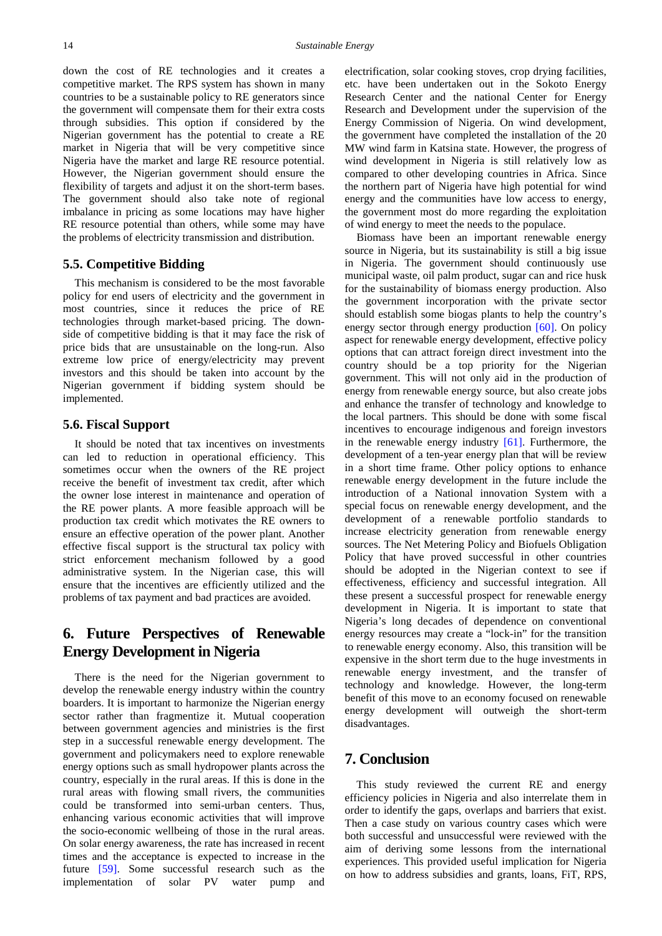down the cost of RE technologies and it creates a competitive market. The RPS system has shown in many countries to be a sustainable policy to RE generators since the government will compensate them for their extra costs through subsidies. This option if considered by the Nigerian government has the potential to create a RE market in Nigeria that will be very competitive since Nigeria have the market and large RE resource potential. However, the Nigerian government should ensure the flexibility of targets and adjust it on the short-term bases. The government should also take note of regional imbalance in pricing as some locations may have higher RE resource potential than others, while some may have the problems of electricity transmission and distribution.

#### **5.5. Competitive Bidding**

This mechanism is considered to be the most favorable policy for end users of electricity and the government in most countries, since it reduces the price of RE technologies through market-based pricing. The downside of competitive bidding is that it may face the risk of price bids that are unsustainable on the long-run. Also extreme low price of energy/electricity may prevent investors and this should be taken into account by the Nigerian government if bidding system should be implemented.

#### **5.6. Fiscal Support**

It should be noted that tax incentives on investments can led to reduction in operational efficiency. This sometimes occur when the owners of the RE project receive the benefit of investment tax credit, after which the owner lose interest in maintenance and operation of the RE power plants. A more feasible approach will be production tax credit which motivates the RE owners to ensure an effective operation of the power plant. Another effective fiscal support is the structural tax policy with strict enforcement mechanism followed by a good administrative system. In the Nigerian case, this will ensure that the incentives are efficiently utilized and the problems of tax payment and bad practices are avoided.

# **6. Future Perspectives of Renewable Energy Development in Nigeria**

There is the need for the Nigerian government to develop the renewable energy industry within the country boarders. It is important to harmonize the Nigerian energy sector rather than fragmentize it. Mutual cooperation between government agencies and ministries is the first step in a successful renewable energy development. The government and policymakers need to explore renewable energy options such as small hydropower plants across the country, especially in the rural areas. If this is done in the rural areas with flowing small rivers, the communities could be transformed into semi-urban centers. Thus, enhancing various economic activities that will improve the socio-economic wellbeing of those in the rural areas. On solar energy awareness, the rate has increased in recent times and the acceptance is expected to increase in the future [\[59\].](#page-9-19) Some successful research such as the implementation of solar PV water pump and

electrification, solar cooking stoves, crop drying facilities, etc. have been undertaken out in the Sokoto Energy Research Center and the national Center for Energy Research and Development under the supervision of the Energy Commission of Nigeria. On wind development, the government have completed the installation of the 20 MW wind farm in Katsina state. However, the progress of wind development in Nigeria is still relatively low as compared to other developing countries in Africa. Since the northern part of Nigeria have high potential for wind energy and the communities have low access to energy, the government most do more regarding the exploitation of wind energy to meet the needs to the populace.

Biomass have been an important renewable energy source in Nigeria, but its sustainability is still a big issue in Nigeria. The government should continuously use municipal waste, oil palm product, sugar can and rice husk for the sustainability of biomass energy production. Also the government incorporation with the private sector should establish some biogas plants to help the country's energy sector through energy production [\[60\].](#page-9-20) On policy aspect for renewable energy development, effective policy options that can attract foreign direct investment into the country should be a top priority for the Nigerian government. This will not only aid in the production of energy from renewable energy source, but also create jobs and enhance the transfer of technology and knowledge to the local partners. This should be done with some fiscal incentives to encourage indigenous and foreign investors in the renewable energy industry  $[61]$ . Furthermore, the development of a ten-year energy plan that will be review in a short time frame. Other policy options to enhance renewable energy development in the future include the introduction of a National innovation System with a special focus on renewable energy development, and the development of a renewable portfolio standards to increase electricity generation from renewable energy sources. The Net Metering Policy and Biofuels Obligation Policy that have proved successful in other countries should be adopted in the Nigerian context to see if effectiveness, efficiency and successful integration. All these present a successful prospect for renewable energy development in Nigeria. It is important to state that Nigeria's long decades of dependence on conventional energy resources may create a "lock-in" for the transition to renewable energy economy. Also, this transition will be expensive in the short term due to the huge investments in renewable energy investment, and the transfer of technology and knowledge. However, the long-term benefit of this move to an economy focused on renewable energy development will outweigh the short-term disadvantages.

## **7. Conclusion**

This study reviewed the current RE and energy efficiency policies in Nigeria and also interrelate them in order to identify the gaps, overlaps and barriers that exist. Then a case study on various country cases which were both successful and unsuccessful were reviewed with the aim of deriving some lessons from the international experiences. This provided useful implication for Nigeria on how to address subsidies and grants, loans, FiT, RPS,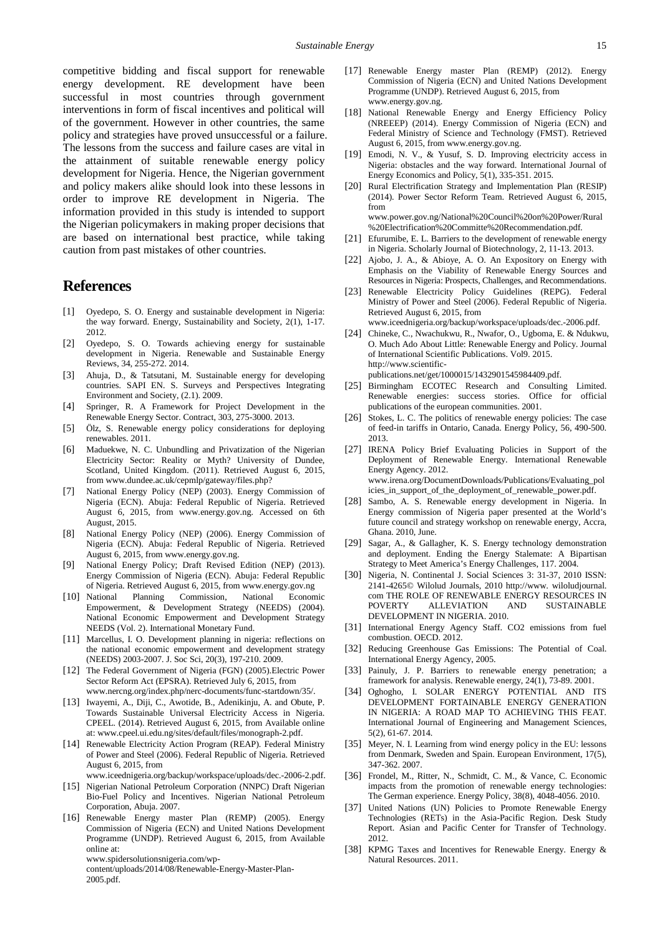competitive bidding and fiscal support for renewable energy development. RE development have been successful in most countries through government interventions in form of fiscal incentives and political will of the government. However in other countries, the same policy and strategies have proved unsuccessful or a failure. The lessons from the success and failure cases are vital in the attainment of suitable renewable energy policy development for Nigeria. Hence, the Nigerian government and policy makers alike should look into these lessons in order to improve RE development in Nigeria. The information provided in this study is intended to support the Nigerian policymakers in making proper decisions that are based on international best practice, while taking caution from past mistakes of other countries.

## **References**

- <span id="page-8-0"></span>[1] Oyedepo, S. O. Energy and sustainable development in Nigeria: the way forward. Energy, Sustainability and Society, 2(1), 1-17. 2012.
- <span id="page-8-1"></span>[2] Oyedepo, S. O. Towards achieving energy for sustainable development in Nigeria. Renewable and Sustainable Energy Reviews, 34, 255-272. 2014.
- <span id="page-8-2"></span>[3] Ahuja, D., & Tatsutani, M. Sustainable energy for developing countries. SAPI EN. S. Surveys and Perspectives Integrating Environment and Society, (2.1). 2009.
- <span id="page-8-3"></span>[4] Springer, R. A Framework for Project Development in the Renewable Energy Sector. Contract, 303, 275-3000. 2013.
- <span id="page-8-4"></span>[5] Ölz, S. Renewable energy policy considerations for deploying renewables. 2011.
- <span id="page-8-5"></span>[6] Maduekwe, N. C. Unbundling and Privatization of the Nigerian Electricity Sector: Reality or Myth? University of Dundee, Scotland, United Kingdom. (2011). Retrieved August 6, 2015, from www.dundee.ac.uk/cepmlp/gateway/files.php?
- <span id="page-8-6"></span>National Energy Policy (NEP) (2003). Energy Commission of Nigeria (ECN). Abuja: Federal Republic of Nigeria. Retrieved August 6, 2015, from www.energy.gov.ng. Accessed on 6th August, 2015.
- [8] National Energy Policy (NEP) (2006). Energy Commission of Nigeria (ECN). Abuja: Federal Republic of Nigeria. Retrieved August 6, 2015, from www.energy.gov.ng.
- [9] National Energy Policy; Draft Revised Edition (NEP) (2013). Energy Commission of Nigeria (ECN). Abuja: Federal Republic of Nigeria. Retrieved August 6, 2015, from www.energy.gov.ng
- <span id="page-8-7"></span>[10] National Planning Commission, National Economic Empowerment, & Development Strategy (NEEDS) (2004). National Economic Empowerment and Development Strategy NEEDS (Vol. 2). International Monetary Fund.
- [11] Marcellus, I. O. Development planning in nigeria: reflections on the national economic empowerment and development strategy (NEEDS) 2003-2007. J. Soc Sci, 20(3), 197-210. 2009.
- <span id="page-8-8"></span>[12] The Federal Government of Nigeria (FGN) (2005). Electric Power Sector Reform Act (EPSRA). Retrieved July 6, 2015, from www.nercng.org/index.php/nerc-documents/func-startdown/35/.
- <span id="page-8-9"></span>[13] Iwayemi, A., Diji, C., Awotide, B., Adenikinju, A. and Obute, P. Towards Sustainable Universal Electricity Access in Nigeria. CPEEL. (2014). Retrieved August 6, 2015, from Available online at: www.cpeel.ui.edu.ng/sites/default/files/monograph-2.pdf.
- <span id="page-8-10"></span>[14] Renewable Electricity Action Program (REAP). Federal Ministry of Power and Steel (2006). Federal Republic of Nigeria. Retrieved August 6, 2015, from
- <span id="page-8-11"></span>www.iceednigeria.org/backup/workspace/uploads/dec.-2006-2.pdf. [15] Nigerian National Petroleum Corporation (NNPC) Draft Nigerian
- Bio-Fuel Policy and Incentives. Nigerian National Petroleum Corporation, Abuja. 2007.
- <span id="page-8-12"></span>[16] Renewable Energy master Plan (REMP) (2005). Energy Commission of Nigeria (ECN) and United Nations Development Programme (UNDP). Retrieved August 6, 2015, from Available online at:

www.spidersolutionsnigeria.com/wp-

- <span id="page-8-29"></span>[17] Renewable Energy master Plan (REMP) (2012). Energy Commission of Nigeria (ECN) and United Nations Development Programme (UNDP). Retrieved August 6, 2015, from www.energy.gov.ng.
- <span id="page-8-13"></span>[18] National Renewable Energy and Energy Efficiency Policy (NREEEP) (2014). Energy Commission of Nigeria (ECN) and Federal Ministry of Science and Technology (FMST). Retrieved August 6, 2015, from www.energy.gov.ng.
- <span id="page-8-14"></span>[19] Emodi, N. V., & Yusuf, S. D. Improving electricity access in Nigeria: obstacles and the way forward. International Journal of Energy Economics and Policy, 5(1), 335-351. 2015.
- <span id="page-8-15"></span>[20] Rural Electrification Strategy and Implementation Plan (RESIP) (2014). Power Sector Reform Team. Retrieved August 6, 2015, from

www.power.gov.ng/National%20Council%20on%20Power/Rural %20Electrification%20Committe%20Recommendation.pdf.

- <span id="page-8-16"></span>[21] Efurumibe, E. L. Barriers to the development of renewable energy in Nigeria. Scholarly Journal of Biotechnology, 2, 11-13. 2013.
- <span id="page-8-17"></span>[22] Ajobo, J. A., & Abioye, A. O. An Expository on Energy with Emphasis on the Viability of Renewable Energy Sources and Resources in Nigeria: Prospects, Challenges, and Recommendations.
- <span id="page-8-18"></span>[23] Renewable Electricity Policy Guidelines (REPG). Federal Ministry of Power and Steel (2006). Federal Republic of Nigeria. Retrieved August 6, 2015, from

www.iceednigeria.org/backup/workspace/uploads/dec.-2006.pdf.

- <span id="page-8-19"></span>[24] Chineke, C., Nwachukwu, R., Nwafor, O., Ugboma, E. & Ndukwu, O. Much Ado About Little: Renewable Energy and Policy. Journal of International Scientific Publications. Vol9. 2015. http://www.scientific-
- publications.net/get/1000015/1432901545984409.pdf. [25] Birmingham ECOTEC Research and Consulting Limited.
- <span id="page-8-20"></span>Renewable energies: success stories. Office for official publications of the european communities. 2001.
- <span id="page-8-21"></span>[26] Stokes, L. C. The politics of renewable energy policies: The case of feed-in tariffs in Ontario, Canada. Energy Policy, 56, 490-500. 2013.
- [27] IRENA Policy Brief Evaluating Policies in Support of the Deployment of Renewable Energy. International Renewable Energy Agency. 2012. www.irena.org/DocumentDownloads/Publications/Evaluating\_pol icies\_in\_support\_of\_the\_deployment\_of\_renewable\_power.pdf.
- <span id="page-8-22"></span>[28] Sambo, A. S. Renewable energy development in Nigeria. In Energy commission of Nigeria paper presented at the World's future council and strategy workshop on renewable energy, Accra, Ghana. 2010, June.
- <span id="page-8-23"></span>[29] Sagar, A., & Gallagher, K. S. Energy technology demonstration and deployment. Ending the Energy Stalemate: A Bipartisan Strategy to Meet America's Energy Challenges, 117. 2004.
- <span id="page-8-24"></span>[30] Nigeria, N. Continental J. Social Sciences 3: 31-37, 2010 ISSN: 2141-4265© Wilolud Journals, 2010 http://www. wiloludjournal. com THE ROLE OF RENEWABLE ENERGY RESOURCES IN POVERTY ALLEVIATION AND SUSTAINABLE DEVELOPMENT IN NIGERIA. 2010.
- <span id="page-8-25"></span>[31] International Energy Agency Staff. CO2 emissions from fuel combustion. OECD. 2012.
- <span id="page-8-26"></span>[32] Reducing Greenhouse Gas Emissions: The Potential of Coal. International Energy Agency, 2005.
- <span id="page-8-27"></span>[33] Painuly, J. P. Barriers to renewable energy penetration; a framework for analysis. Renewable energy,  $24(1)$ ,  $73-89$ . 2001.
- <span id="page-8-28"></span>[34] Oghogho, I. SOLAR ENERGY POTENTIAL AND ITS DEVELOPMENT FORTAINABLE ENERGY GENERATION IN NIGERIA: A ROAD MAP TO ACHIEVING THIS FEAT. International Journal of Engineering and Management Sciences, 5(2), 61-67. 2014.
- <span id="page-8-30"></span>[35] Meyer, N. I. Learning from wind energy policy in the EU: lessons from Denmark, Sweden and Spain. European Environment, 17(5), 347-362. 2007.
- <span id="page-8-31"></span>[36] Frondel, M., Ritter, N., Schmidt, C. M., & Vance, C. Economic impacts from the promotion of renewable energy technologies: The German experience. Energy Policy, 38(8), 4048-4056. 2010.
- <span id="page-8-32"></span>[37] United Nations (UN) Policies to Promote Renewable Energy Technologies (RETs) in the Asia-Pacific Region. Desk Study Report. Asian and Pacific Center for Transfer of Technology. 2012.
- <span id="page-8-33"></span>[38] KPMG Taxes and Incentives for Renewable Energy. Energy & Natural Resources. 2011.

content/uploads/2014/08/Renewable-Energy-Master-Plan-2005.pdf.